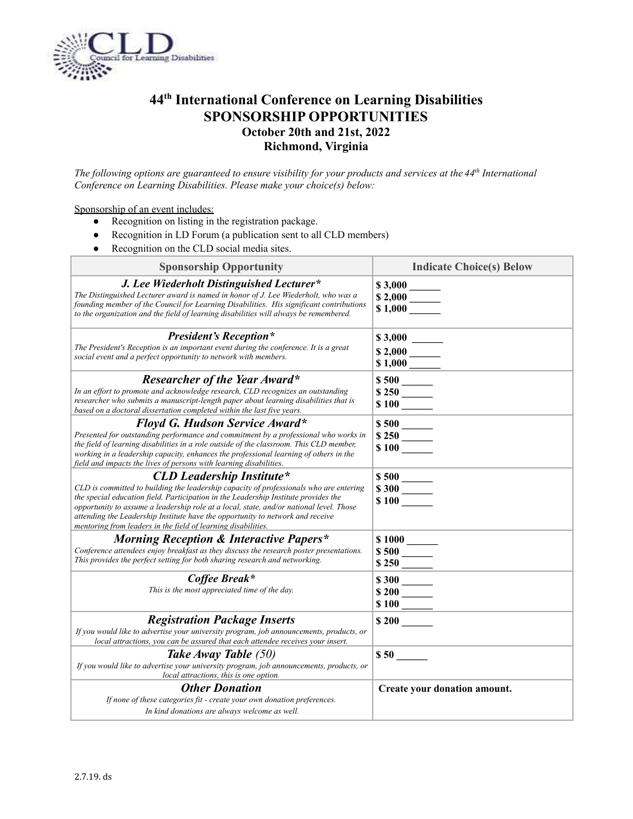

## **44 th International Conference on Learning Disabilities SPONSORSHIP OPPORTUNITIES October 20th and 21st, 2022 Richmond, Virginia**

The following options are guaranteed to ensure visibility for your products and services at the 44<sup>th</sup> International *Conference on Learning Disabilities. Please make your choice(s) below:*

## Sponsorship of an event includes:

- Recognition on listing in the registration package.
- Recognition in LD Forum (a publication sent to all CLD members)
- Recognition on the CLD social media sites.

| <b>Sponsorship Opportunity</b>                                                                                                                                                                                                                                                                                                                                                                                                                                  | <b>Indicate Choice(s) Below</b>                       |
|-----------------------------------------------------------------------------------------------------------------------------------------------------------------------------------------------------------------------------------------------------------------------------------------------------------------------------------------------------------------------------------------------------------------------------------------------------------------|-------------------------------------------------------|
| J. Lee Wiederholt Distinguished Lecturer*<br>The Distinguished Lecturer award is named in honor of J. Lee Wiederholt, who was a<br>founding member of the Council for Learning Disabilities. His significant contributions<br>to the organization and the field of learning disabilities will always be remembered.                                                                                                                                             | $\frac{$3,000}{$2,000}$<br>$\frac{$2,000}{1,000}$     |
| <b>President's Reception*</b><br>The President's Reception is an important event during the conference. It is a great<br>social event and a perfect opportunity to network with members.                                                                                                                                                                                                                                                                        |                                                       |
| <b>Researcher of the Year Award*</b><br>In an effort to promote and acknowledge research, CLD recognizes an outstanding<br>researcher who submits a manuscript-length paper about learning disabilities that is<br>based on a doctoral dissertation completed within the last five years.                                                                                                                                                                       | $\frac{250}{100}$                                     |
| Floyd G. Hudson Service Award*<br>Presented for outstanding performance and commitment by a professional who works in<br>the field of learning disabilities in a role outside of the classroom. This CLD member,<br>working in a leadership capacity, enhances the professional learning of others in the<br>field and impacts the lives of persons with learning disabilities.                                                                                 | $\frac{$500}{\$250}$<br>$\frac{$250}{\$100}$          |
| <b>CLD Leadership Institute*</b><br>CLD is committed to building the leadership capacity of professionals who are entering<br>the special education field. Participation in the Leadership Institute provides the<br>opportunity to assume a leadership role at a local, state, and/or national level. Those<br>attending the Leadership Institute have the opportunity to network and receive<br>mentoring from leaders in the field of learning disabilities. | $\frac{$500}{\$300}$<br>$\frac{$300}{\$100}$          |
| <b>Morning Reception &amp; Interactive Papers*</b><br>Conference attendees enjoy breakfast as they discuss the research poster presentations.<br>This provides the perfect setting for both sharing research and networking.                                                                                                                                                                                                                                    | $\begin{array}{c}\n8500 \\ \hline\n8250\n\end{array}$ |
| Coffee Break*<br>This is the most appreciated time of the day.                                                                                                                                                                                                                                                                                                                                                                                                  |                                                       |
| <b>Registration Package Inserts</b><br>If you would like to advertise your university program, job announcements, products, or<br>local attractions, you can be assured that each attendee receives your insert.                                                                                                                                                                                                                                                | \$200                                                 |
| Take Away Table (50)<br>If you would like to advertise your university program, job announcements, products, or<br>local attractions, this is one option.                                                                                                                                                                                                                                                                                                       | $$50$ $\qquad$                                        |
| <b>Other Donation</b><br>If none of these categories fit - create your own donation preferences.<br>In kind donations are always welcome as well.                                                                                                                                                                                                                                                                                                               | Create your donation amount.                          |